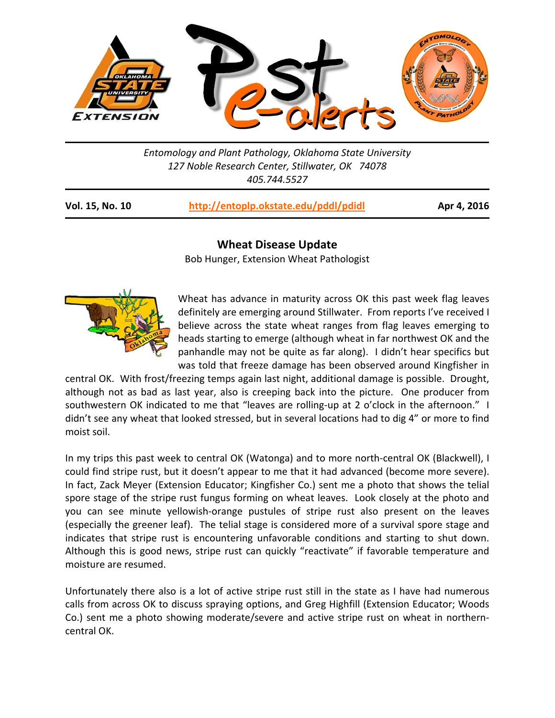

*Entomology and Plant Pathology, Oklahoma State University 127 Noble Research Center, Stillwater, OK 74078 405.744.5527* 

| Vol. 15, No. 10 | http://entoplp.okstate.edu/pddl/pdidl |
|-----------------|---------------------------------------|
|-----------------|---------------------------------------|

**Vol. 15, No. 10 http://entoplp.okstate.edu/pddl/pdidl Apr 4, 2016**

## **Wheat Disease Update**

Bob Hunger, Extension Wheat Pathologist



Wheat has advance in maturity across OK this past week flag leaves definitely are emerging around Stillwater. From reports I've received I believe across the state wheat ranges from flag leaves emerging to heads starting to emerge (although wheat in far northwest OK and the panhandle may not be quite as far along). I didn't hear specifics but was told that freeze damage has been observed around Kingfisher in

central OK. With frost/freezing temps again last night, additional damage is possible. Drought, although not as bad as last year, also is creeping back into the picture. One producer from southwestern OK indicated to me that "leaves are rolling-up at 2 o'clock in the afternoon." I didn't see any wheat that looked stressed, but in several locations had to dig 4" or more to find moist soil.

In my trips this past week to central OK (Watonga) and to more north-central OK (Blackwell), I could find stripe rust, but it doesn't appear to me that it had advanced (become more severe). In fact, Zack Meyer (Extension Educator; Kingfisher Co.) sent me a photo that shows the telial spore stage of the stripe rust fungus forming on wheat leaves. Look closely at the photo and you can see minute yellowish-orange pustules of stripe rust also present on the leaves (especially the greener leaf). The telial stage is considered more of a survival spore stage and indicates that stripe rust is encountering unfavorable conditions and starting to shut down. Although this is good news, stripe rust can quickly "reactivate" if favorable temperature and moisture are resumed.

Unfortunately there also is a lot of active stripe rust still in the state as I have had numerous calls from across OK to discuss spraying options, and Greg Highfill (Extension Educator; Woods Co.) sent me a photo showing moderate/severe and active stripe rust on wheat in northerncentral OK.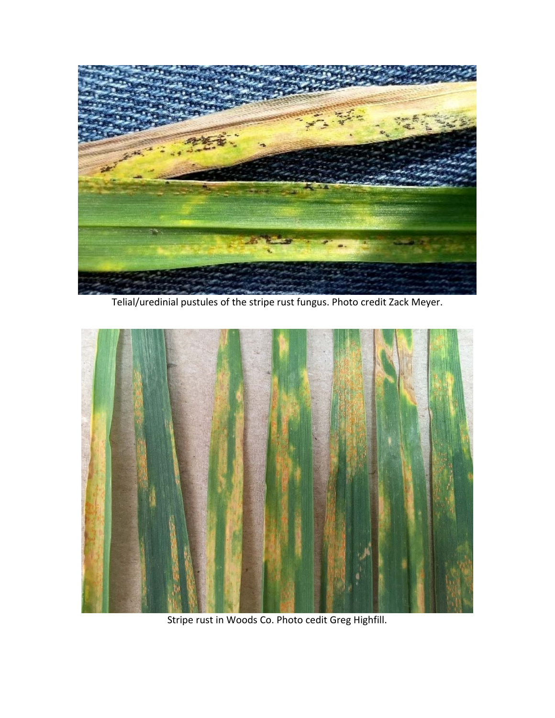

Telial/uredinial pustules of the stripe rust fungus. Photo credit Zack Meyer.



Stripe rust in Woods Co. Photo cedit Greg Highfill.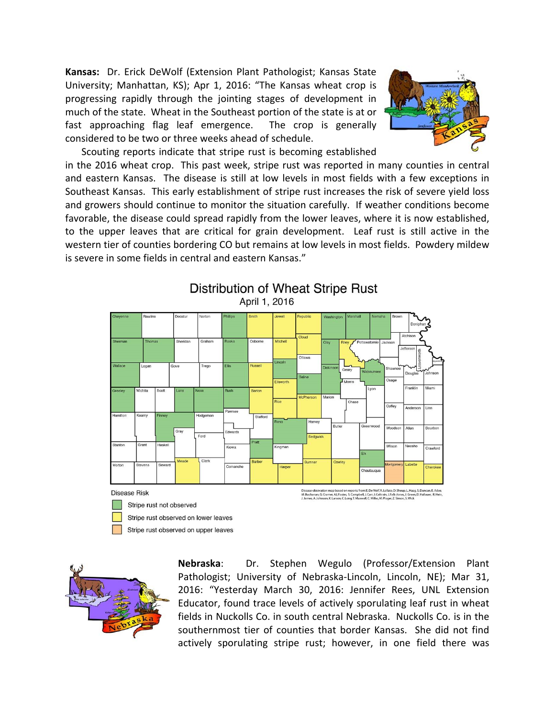Kansas: Dr. Erick DeWolf (Extension Plant Pathologist; Kansas State University; Manhattan, KS); Apr 1, 2016: "The Kansas wheat crop is progressing rapidly through the jointing stages of development in much of the state. Wheat in the Southeast portion of the state is at or fast approaching flag leaf emergence. The crop is generally considered to be two or three weeks ahead of schedule.



 Scouting reports indicate that stripe rust is becoming established in the 2016 wheat crop. This past week, stripe rust was reported in many counties in central and eastern Kansas. The disease is still at low levels in most fields with a few exceptions in Southeast Kansas. This early establishment of stripe rust increases the risk of severe yield loss and growers should continue to monitor the situation carefully. If weather conditions become favorable, the disease could spread rapidly from the lower leaves, where it is now established, to the upper leaves that are critical for grain development. Leaf rust is still active in the western tier of counties bordering CO but remains at low levels in most fields. Powdery mildew is severe in some fields in central and eastern Kansas."



## Distribution of Wheat Stripe Rust April 1, 2016



**Nebraska**: Dr. Stephen Wegulo (Professor/Extension Plant Pathologist; University of Nebraska-Lincoln, Lincoln, NE); Mar 31, 2016: "Yesterday March 30, 2016: Jennifer Rees, UNL Extension Educator, found trace levels of actively sporulating leaf rust in wheat fields in Nuckolls Co. in south central Nebraska. Nuckolls Co. is in the southernmost tier of counties that border Kansas. She did not find actively sporulating stripe rust; however, in one field there was